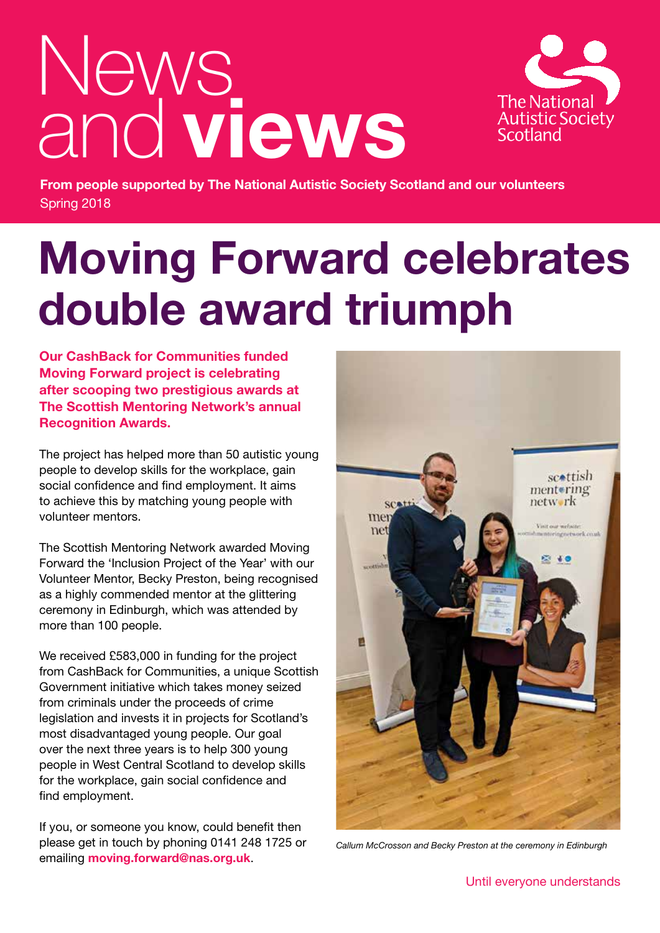# News and **views**



**From people supported by The National Autistic Society Scotland and our volunteers** Spring 2018

# **Moving Forward celebrates double award triumph**

**Our CashBack for Communities funded Moving Forward project is celebrating after scooping two prestigious awards at The Scottish Mentoring Network's annual Recognition Awards.**

The project has helped more than 50 autistic young people to develop skills for the workplace, gain social confidence and find employment. It aims to achieve this by matching young people with volunteer mentors.

The Scottish Mentoring Network awarded Moving Forward the 'Inclusion Project of the Year' with our Volunteer Mentor, Becky Preston, being recognised as a highly commended mentor at the glittering ceremony in Edinburgh, which was attended by more than 100 people.

We received £583,000 in funding for the project from CashBack for Communities, a unique Scottish Government initiative which takes money seized from criminals under the proceeds of crime legislation and invests it in projects for Scotland's most disadvantaged young people. Our goal over the next three years is to help 300 young people in West Central Scotland to develop skills for the workplace, gain social confidence and find employment.

If you, or someone you know, could benefit then please get in touch by phoning 0141 248 1725 or emailing **moving.forward@nas.org.uk**.



*Callum McCrosson and Becky Preston at the ceremony in Edinburgh*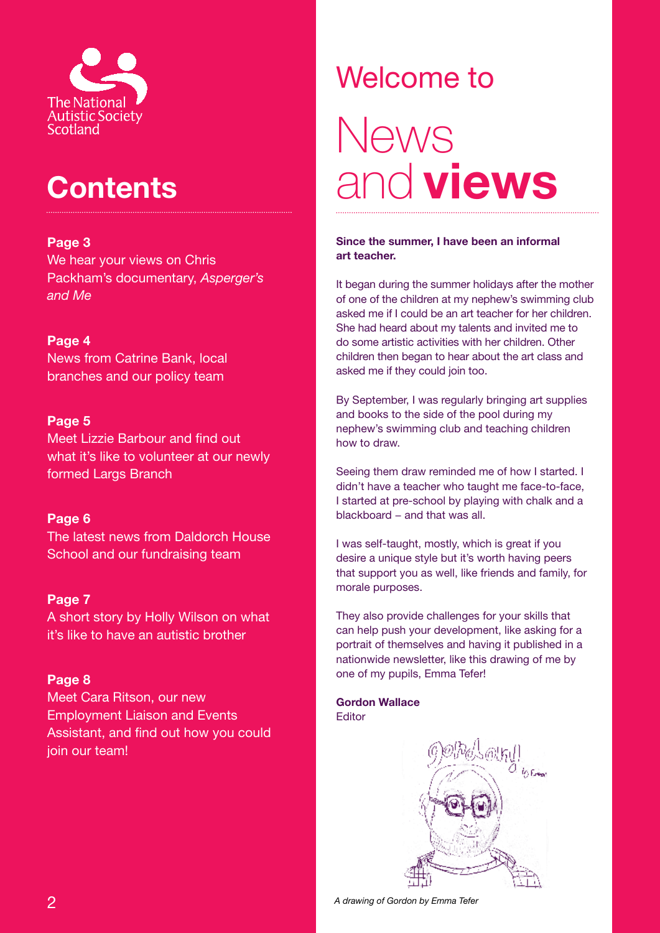

## **Contents**

#### **Page 3**

We hear your views on Chris Packham's documentary, *Asperger's and Me*

#### **Page 4**

News from Catrine Bank, local branches and our policy team

#### **Page 5**

Meet Lizzie Barbour and find out what it's like to volunteer at our newly formed Largs Branch

#### **Page 6**

The latest news from Daldorch House School and our fundraising team

#### **Page 7**

A short story by Holly Wilson on what it's like to have an autistic brother

#### **Page 8**

Meet Cara Ritson, our new Employment Liaison and Events Assistant, and find out how you could join our team!

# Welcome to News and **views**

#### **Since the summer, I have been an informal art teacher.**

It began during the summer holidays after the mother of one of the children at my nephew's swimming club asked me if I could be an art teacher for her children. She had heard about my talents and invited me to do some artistic activities with her children. Other children then began to hear about the art class and asked me if they could join too.

By September, I was regularly bringing art supplies and books to the side of the pool during my nephew's swimming club and teaching children how to draw.

Seeing them draw reminded me of how I started. I didn't have a teacher who taught me face-to-face, I started at pre-school by playing with chalk and a blackboard − and that was all.

I was self-taught, mostly, which is great if you desire a unique style but it's worth having peers that support you as well, like friends and family, for morale purposes.

They also provide challenges for your skills that can help push your development, like asking for a portrait of themselves and having it published in a nationwide newsletter, like this drawing of me by one of my pupils, Emma Tefer!

**Gordon Wallace Editor** 



*A drawing of Gordon by Emma Tefer*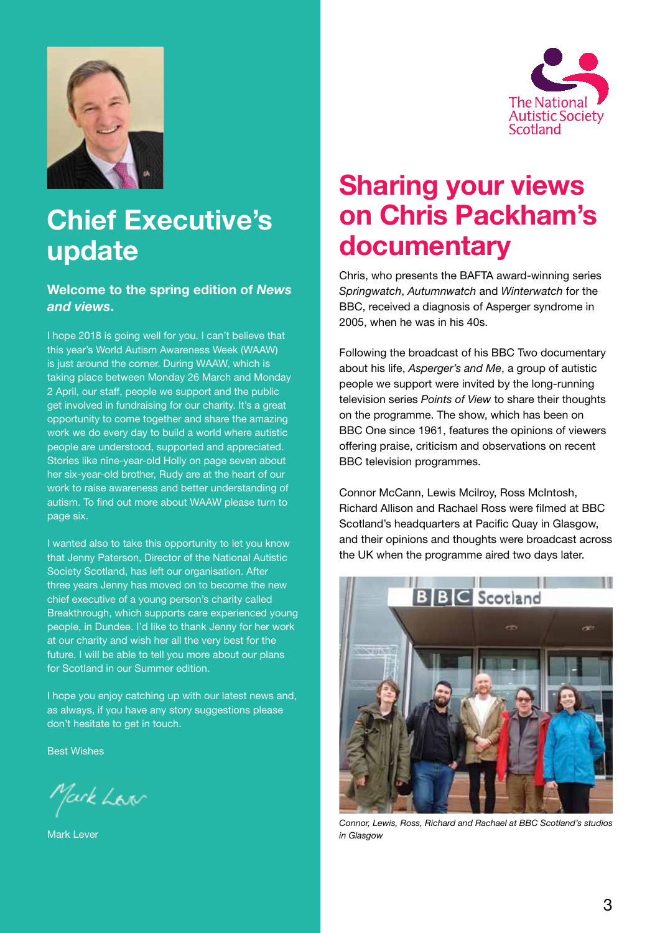



#### **Welcome to the spring edition of** *News and views***.**

I hope 2018 is going well for you. I can't believe that this year's World Autism Awareness Week (WAAW) is just around the corner. During WAAW, which is taking place between Monday 26 March and Monday 2 April, our staff, people we support and the public get involved in fundraising for our charity. It's a great opportunity to come together and share the amazing work we do every day to build a world where autistic people are understood, supported and appreciated. Stories like nine-year-old Holly on page seven about her six-year-old brother, Rudy are at the heart of our work to raise awareness and better understanding of autism. To find out more about WAAW please turn to page six.

I wanted also to take this opportunity to let you know that Jenny Paterson, Director of the National Autistic Society Scotland, has left our organisation. After three years Jenny has moved on to become the new chief executive of a young person's charity called Breakthrough, which supports care experienced young people, in Dundee. I'd like to thank Jenny for her work at our charity and wish her all the very best for the future. I will be able to tell you more about our plans for Scotland in our Summer edition.

I hope you enjoy catching up with our latest news and, as always, if you have any story suggestions please don't hesitate to get in touch.

Best Wishes

Mark Law

Mark Lever



### **Sharing your views on Chris Packham's documentary**

Chris, who presents the BAFTA award-winning series *Springwatch*, *Autumnwatch* and *Winterwatch* for the BBC, received a diagnosis of Asperger syndrome in 2005, when he was in his 40s.

Following the broadcast of his BBC Two documentary about his life, *Asperger's and Me*, a group of autistic people we support were invited by the long-running television series *Points of View* to share their thoughts on the programme. The show, which has been on BBC One since 1961, features the opinions of viewers offering praise, criticism and observations on recent BBC television programmes.

Connor McCann, Lewis Mcilroy, Ross McIntosh, Richard Allison and Rachael Ross were filmed at BBC Scotland's headquarters at Pacific Quay in Glasgow, and their opinions and thoughts were broadcast across the UK when the programme aired two days later.



*Connor, Lewis, Ross, Richard and Rachael at BBC Scotland's studios in Glasgow*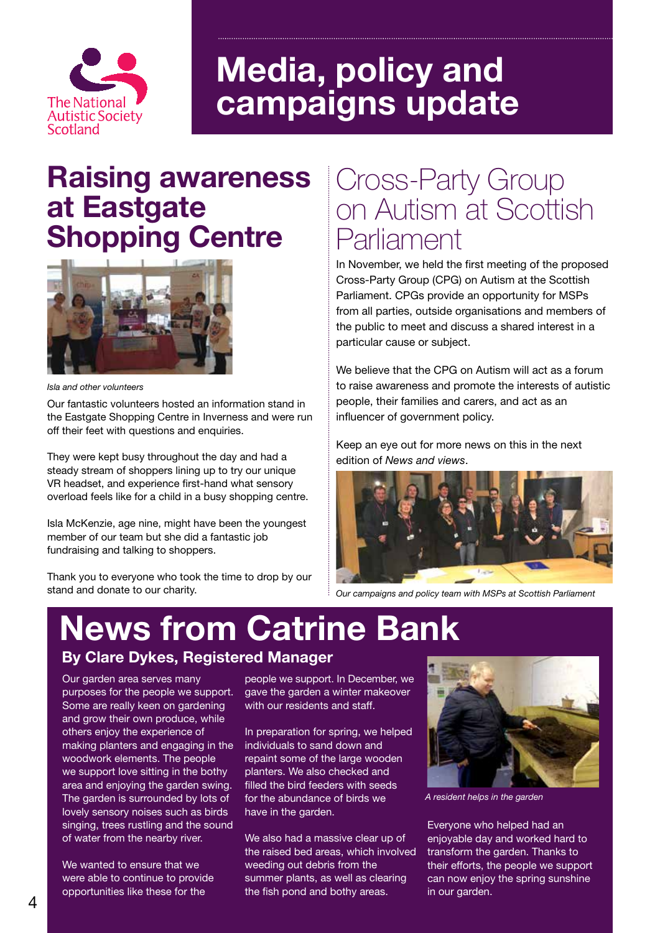

# **Media, policy and campaigns update**

### **Raising awareness at Eastgate Shopping Centre**



*Isla and other volunteers*

Our fantastic volunteers hosted an information stand in the Eastgate Shopping Centre in Inverness and were run off their feet with questions and enquiries.

They were kept busy throughout the day and had a steady stream of shoppers lining up to try our unique VR headset, and experience first-hand what sensory overload feels like for a child in a busy shopping centre.

Isla McKenzie, age nine, might have been the youngest member of our team but she did a fantastic job fundraising and talking to shoppers.

Thank you to everyone who took the time to drop by our stand and donate to our charity.

### Cross-Party Group on Autism at Scottish Parliament

In November, we held the first meeting of the proposed Cross-Party Group (CPG) on Autism at the Scottish Parliament. CPGs provide an opportunity for MSPs from all parties, outside organisations and members of the public to meet and discuss a shared interest in a particular cause or subject.

We believe that the CPG on Autism will act as a forum to raise awareness and promote the interests of autistic people, their families and carers, and act as an influencer of government policy.

Keep an eye out for more news on this in the next edition of *News and views*.



*Our campaigns and policy team with MSPs at Scottish Parliament*

# **News from Catrine Bank**

#### **By Clare Dykes, Registered Manager**

Our garden area serves many purposes for the people we support. Some are really keen on gardening and grow their own produce, while others enjoy the experience of making planters and engaging in the woodwork elements. The people we support love sitting in the bothy area and enjoying the garden swing. The garden is surrounded by lots of lovely sensory noises such as birds singing, trees rustling and the sound of water from the nearby river.

We wanted to ensure that we were able to continue to provide opportunities like these for the

people we support. In December, we gave the garden a winter makeover with our residents and staff.

In preparation for spring, we helped individuals to sand down and repaint some of the large wooden planters. We also checked and filled the bird feeders with seeds for the abundance of birds we have in the garden.

We also had a massive clear up of the raised bed areas, which involved weeding out debris from the summer plants, as well as clearing the fish pond and bothy areas.



*A resident helps in the garden*

Everyone who helped had an enjoyable day and worked hard to transform the garden. Thanks to their efforts, the people we support can now enjoy the spring sunshine in our garden.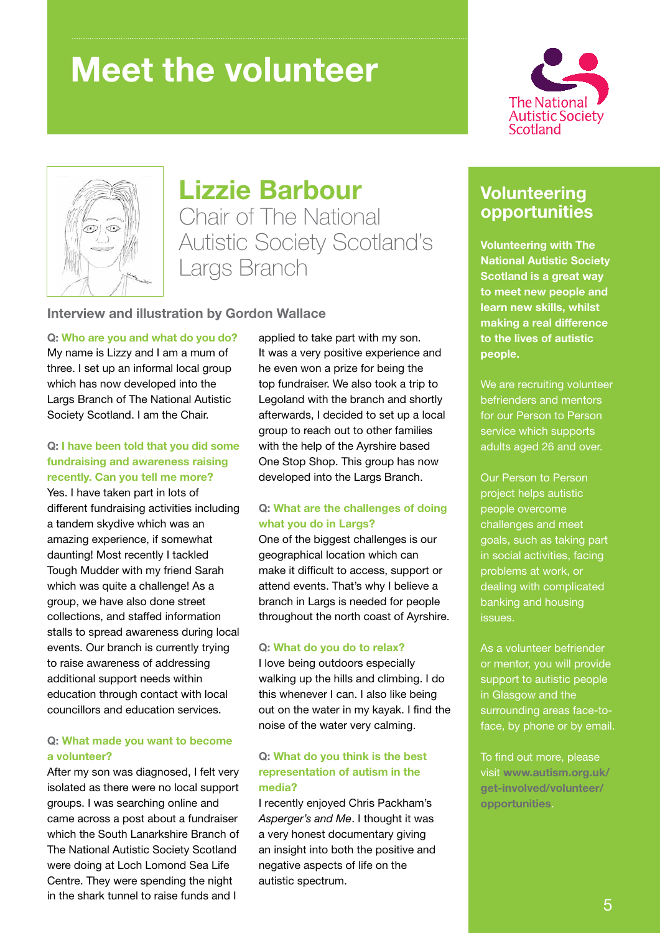# **Meet the volunteer**





### **Lizzie Barbour**

Chair of The National Autistic Society Scotland's Largs Branch

#### **Interview and illustration by Gordon Wallace**

#### **Q: Who are you and what do you do?**

My name is Lizzy and I am a mum of three. I set up an informal local group which has now developed into the Largs Branch of The National Autistic Society Scotland. I am the Chair.

#### **Q: I have been told that you did some fundraising and awareness raising recently. Can you tell me more?**

Yes. I have taken part in lots of different fundraising activities including a tandem skydive which was an amazing experience, if somewhat daunting! Most recently I tackled Tough Mudder with my friend Sarah which was quite a challenge! As a group, we have also done street collections, and staffed information stalls to spread awareness during local events. Our branch is currently trying to raise awareness of addressing additional support needs within education through contact with local councillors and education services.

#### **Q: What made you want to become a volunteer?**

After my son was diagnosed, I felt very isolated as there were no local support groups. I was searching online and came across a post about a fundraiser which the South Lanarkshire Branch of The National Autistic Society Scotland were doing at Loch Lomond Sea Life Centre. They were spending the night in the shark tunnel to raise funds and I

applied to take part with my son. It was a very positive experience and he even won a prize for being the top fundraiser. We also took a trip to Legoland with the branch and shortly afterwards, I decided to set up a local group to reach out to other families with the help of the Ayrshire based One Stop Shop. This group has now developed into the Largs Branch.

#### **Q: What are the challenges of doing what you do in Largs?**

One of the biggest challenges is our geographical location which can make it difficult to access, support or attend events. That's why I believe a branch in Largs is needed for people throughout the north coast of Ayrshire.

#### **Q: What do you do to relax?**

I love being outdoors especially walking up the hills and climbing. I do this whenever I can. I also like being out on the water in my kayak. I find the noise of the water very calming.

#### **Q: What do you think is the best representation of autism in the media?**

I recently enjoyed Chris Packham's *Asperger's and Me*. I thought it was a very honest documentary giving an insight into both the positive and negative aspects of life on the autistic spectrum.

#### **Volunteering opportunities**

**Volunteering with The National Autistic Society Scotland is a great way to meet new people and learn new skills, whilst making a real difference to the lives of autistic people.** 

We are recruiting volunteer befrienders and mentors for our Person to Person service which supports adults aged 26 and over.

Our Person to Person project helps autistic people overcome challenges and meet goals, such as taking part in social activities, facing problems at work, or dealing with complicated banking and housing issues.

As a volunteer befriender or mentor, you will provide support to autistic people in Glasgow and the surrounding areas face-toface, by phone or by email.

To find out more, please visit **www.autism.org.uk/ get-involved/volunteer/ opportunities**.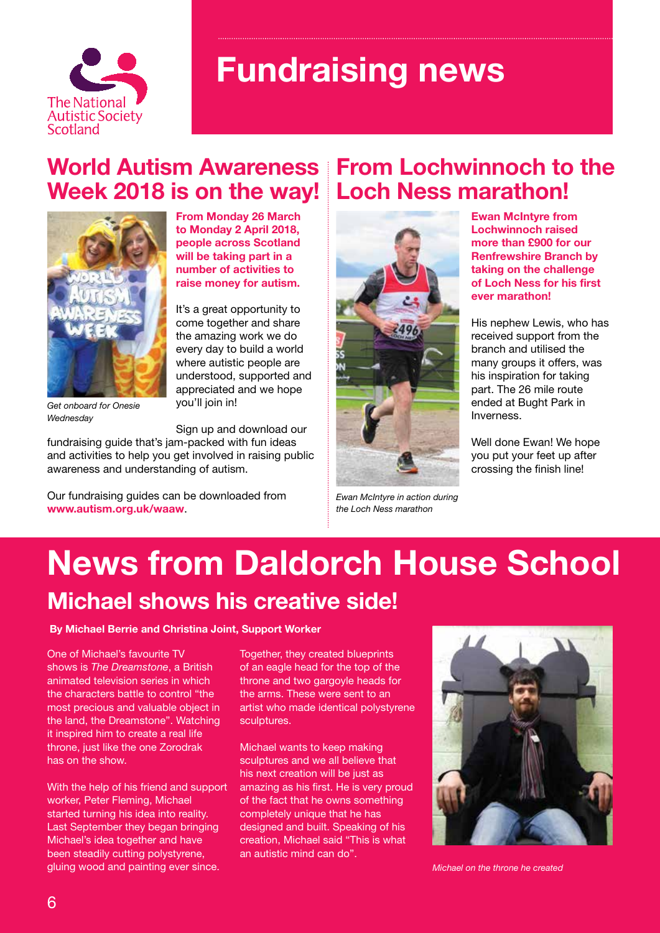

# **Fundraising news**

### **World Autism Awareness From Lochwinnoch to the Week 2018 is on the way! Loch Ness marathon!**



**From Monday 26 March to Monday 2 April 2018, people across Scotland will be taking part in a number of activities to raise money for autism.**

It's a great opportunity to come together and share the amazing work we do every day to build a world where autistic people are understood, supported and appreciated and we hope you'll join in!

*Get onboard for Onesie Wednesday*

Sign up and download our

fundraising guide that's jam-packed with fun ideas and activities to help you get involved in raising public awareness and understanding of autism.

Our fundraising guides can be downloaded from **www.autism.org.uk/waaw**.



*Ewan McIntyre in action during the Loch Ness marathon*

**Ewan McIntyre from Lochwinnoch raised more than £900 for our Renfrewshire Branch by taking on the challenge of Loch Ness for his first ever marathon!**

His nephew Lewis, who has received support from the branch and utilised the many groups it offers, was his inspiration for taking part. The 26 mile route ended at Bught Park in Inverness.

Well done Ewan! We hope you put your feet up after crossing the finish line!

### **News from Daldorch House School Michael shows his creative side!**

**By Michael Berrie and Christina Joint, Support Worker**

One of Michael's favourite TV shows is *The Dreamstone*, a British animated television series in which the characters battle to control "the most precious and valuable object in the land, the Dreamstone". Watching it inspired him to create a real life throne, just like the one Zorodrak has on the show.

With the help of his friend and support worker, Peter Fleming, Michael started turning his idea into reality. Last September they began bringing Michael's idea together and have been steadily cutting polystyrene, gluing wood and painting ever since.

Together, they created blueprints of an eagle head for the top of the throne and two gargoyle heads for the arms. These were sent to an artist who made identical polystyrene sculptures.

Michael wants to keep making sculptures and we all believe that his next creation will be just as amazing as his first. He is very proud of the fact that he owns something completely unique that he has designed and built. Speaking of his creation, Michael said "This is what an autistic mind can do".



*Michael on the throne he created*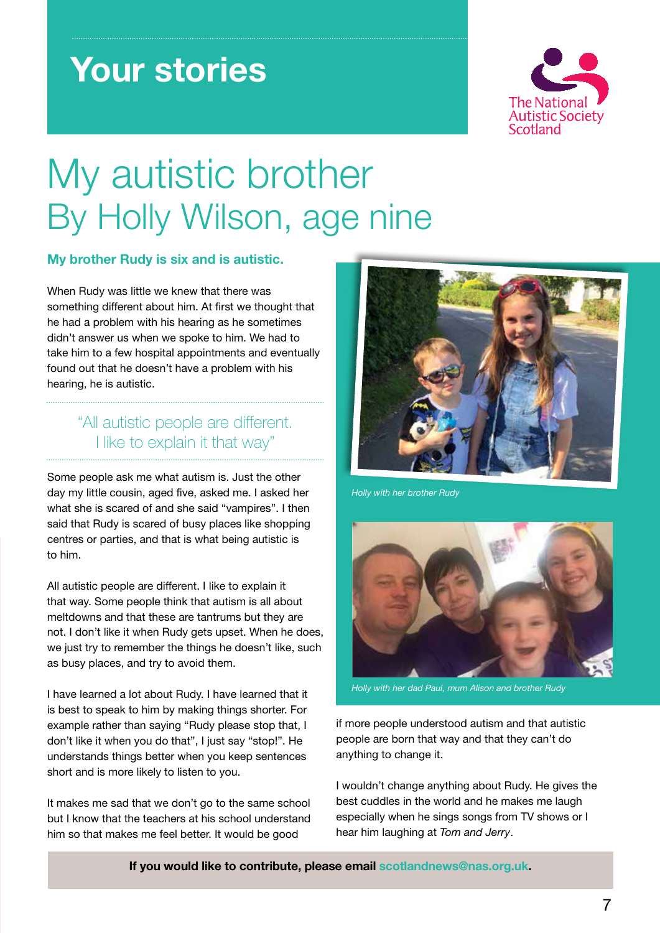# **Your stories**



# My autistic brother By Holly Wilson, age nine

#### **My brother Rudy is six and is autistic.**

When Rudy was little we knew that there was something different about him. At first we thought that he had a problem with his hearing as he sometimes didn't answer us when we spoke to him. We had to take him to a few hospital appointments and eventually found out that he doesn't have a problem with his hearing, he is autistic.

#### "All autistic people are different. I like to explain it that way"

Some people ask me what autism is. Just the other day my little cousin, aged five, asked me. I asked her what she is scared of and she said "vampires". I then said that Rudy is scared of busy places like shopping centres or parties, and that is what being autistic is to him.

All autistic people are different. I like to explain it that way. Some people think that autism is all about meltdowns and that these are tantrums but they are not. I don't like it when Rudy gets upset. When he does, we just try to remember the things he doesn't like, such as busy places, and try to avoid them.

I have learned a lot about Rudy. I have learned that it is best to speak to him by making things shorter. For example rather than saying "Rudy please stop that, I don't like it when you do that", I just say "stop!". He understands things better when you keep sentences short and is more likely to listen to you.

It makes me sad that we don't go to the same school best cudd but I know that the teachers at his school understand him so that makes me feel better. It would be good



*Holly with her brother Rudy*



*Holly with her dad Paul, mum Alison and brother Rudy*

if more people understood autism and that autistic people are born that way and that they can't do anything to change it.

I wouldn't change anything about Rudy. He gives the best cuddles in the world and he makes me laugh especially when he sings songs from TV shows or I hear him laughing at *Tom and Jerry*.

**If you would like to contribute, please email scotlandnews@nas.org.uk.**